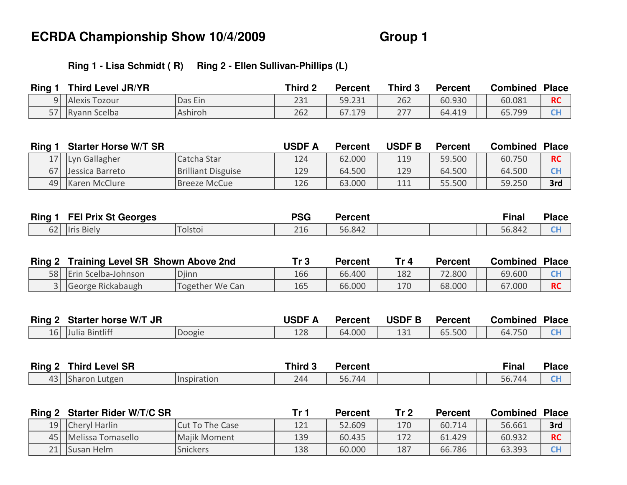### **Ring 1 - Lisa Schmidt ( R) Ring 2 - Ellen Sullivan-Phillips (L)**

| <b>Ring</b> | <b>Third Level JR/YR</b> |         | Third 2 | Percent | Third 3   | Percent | Combined | <b>Place</b> |
|-------------|--------------------------|---------|---------|---------|-----------|---------|----------|--------------|
|             | 9 Alexis Tozour          | Das Ein | 231     | 59.231  | 262       | 60.930  | 60.081   | <b>RC</b>    |
| 57          | <b>Ryann Scelba</b>      | Ashiroh | 262     | 67.179  | つつつ<br>27 | 64.419  | 65.799   | $\sim$<br>uг |

| <b>Ring</b> | <b>Starter Horse W/T SR</b> |                           | <b>USDF A</b> | <b>Percent</b> | USDF B | <b>Percent</b> | <b>Combined</b> | <b>Place</b> |
|-------------|-----------------------------|---------------------------|---------------|----------------|--------|----------------|-----------------|--------------|
|             | 17   Lyn Gallagher          | Catcha Star               | 124           | 62.000         | 119    | 59.500         | 60.750          | <b>RC</b>    |
|             | 67 Jessica Barreto          | <b>Brilliant Disguise</b> | 129           | 64.500         | 129    | 64.500         | 64.500          | <b>CH</b>    |
|             | 49   Karen McClure          | Breeze McCue              | 126           | 63.000         | 111    | 55.500         | 59.250          | 3rd          |

| <b>Ring</b>  | <b>FEI Prix St Georges</b>   |         | <b>PSG</b> | Percent |  | $Fin$ an | <b>Place</b> |
|--------------|------------------------------|---------|------------|---------|--|----------|--------------|
| $\sim$<br>◡∠ | <b>Biely</b><br><b>Ilris</b> | Tolstoi | 24C<br>ZIU | 56.842  |  | 56.842   | $\sim$<br>-- |

| Ring 2 | <b>Training Level SR Shown Above 2nd</b> |                 | Tr 3 | <b>Percent</b> | Tr 4 | Percent | Combined | <b>Place</b> |
|--------|------------------------------------------|-----------------|------|----------------|------|---------|----------|--------------|
| 58 L   | Erin Scelba-Johnson                      | <b>D</b> jinn   | 166  | 66.400         | 182  | 72.800  | 69.600   | гL           |
|        | 3 George Rickabaugh                      | Together We Can | 165  | 66.000         | 170  | 68.000  | 67.000   | <b>RC</b>    |

| <b>Ring</b> | <b>Starter horse W/T JR</b> |        | <b>USDF</b> | Percent | <b>USDF B</b> | <b>Percent</b> | Combined | <b>Place</b> |
|-------------|-----------------------------|--------|-------------|---------|---------------|----------------|----------|--------------|
| 16 L        | Julia Bintliff              | Doogie | 170<br>IZO  | 64.000  | 1つ1<br>TCT    | 65.500         | 64.750   | $\sim$<br>◡  |

| Ring 2         | <b>Level SR</b><br><b>Third</b> |             | <b>Third 3</b> | Percent |  | Final        | <b>Place</b> |
|----------------|---------------------------------|-------------|----------------|---------|--|--------------|--------------|
| $\sim$<br>43 I | Lutgen<br><b>ISharon</b>        | Hnspiration | 244            | 56.744  |  | 56.74<br>744 | $\sim$       |

| 121 | 52.609 | 170 | 60.714 | 56.661 | 3rd       |
|-----|--------|-----|--------|--------|-----------|
| 139 | 60.435 | 172 | 61.429 | 60.932 | <b>RC</b> |
| 138 | 60.000 | 187 | 66.786 | 63.393 | <b>CF</b> |
|     |        |     |        |        |           |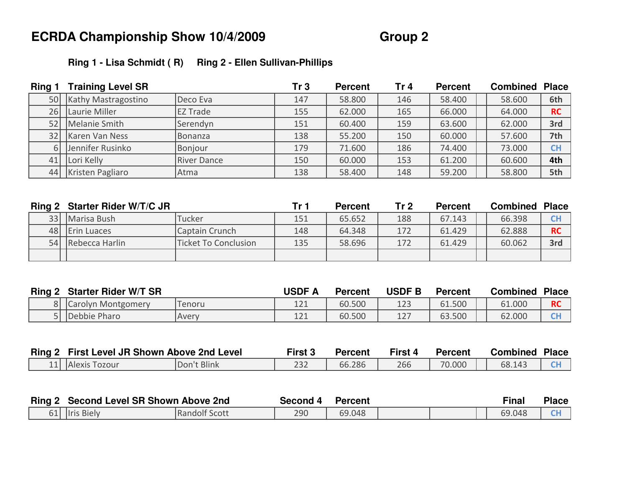### **Ring 1 - Lisa Schmidt ( R) Ring 2 - Ellen Sullivan-Phillips**

| Ring 1 | <b>Training Level SR</b> |                    | Tr <sub>3</sub> | <b>Percent</b> | Tr $4$ | <b>Percent</b> | <b>Combined</b> | <b>Place</b> |
|--------|--------------------------|--------------------|-----------------|----------------|--------|----------------|-----------------|--------------|
| 50     | Kathy Mastragostino      | Deco Eva           | 147             | 58.800         | 146    | 58.400         | 58.600          | 6th          |
| 26     | Laurie Miller            | <b>EZ Trade</b>    | 155             | 62.000         | 165    | 66.000         | 64.000          | <b>RC</b>    |
| 52     | Melanie Smith            | Serendyn           | 151             | 60.400         | 159    | 63.600         | 62.000          | 3rd          |
| 32     | Karen Van Ness           | Bonanza            | 138             | 55.200         | 150    | 60.000         | 57.600          | 7th          |
|        | 6 Jennifer Rusinko       | Bonjour            | 179             | 71.600         | 186    | 74.400         | 73.000          | <b>CH</b>    |
| 41     | Lori Kelly               | <b>River Dance</b> | 150             | 60.000         | 153    | 61.200         | 60.600          | 4th          |
| 44     | Kristen Pagliaro         | Atma               | 138             | 58.400         | 148    | 59.200         | 58.800          | 5th          |

|      | Ring 2 Starter Rider W/T/C JR |                             | Tr 1 | <b>Percent</b> | Tr <sub>2</sub> | <b>Percent</b> | <b>Combined</b> | <b>Place</b> |
|------|-------------------------------|-----------------------------|------|----------------|-----------------|----------------|-----------------|--------------|
|      | 33 Marisa Bush                | Tucker                      | 151  | 65.652         | 188             | 67.143         | 66.398          | <b>CH</b>    |
|      | 48   Erin Luaces              | Captain Crunch              | 148  | 64.348         | 172             | 61.429         | 62.888          | <b>RC</b>    |
| 54 l | Rebecca Harlin                | <b>Ticket To Conclusion</b> | 135  | 58.696         | 172             | 61.429         | 60.062          | 3rd          |
|      |                               |                             |      |                |                 |                |                 |              |

| Ring 2 | <b>Starter Rider W/T SR</b> |        | <b>JSDF</b> / | <b>Percent</b> | <b>USDF B</b> | Percent | Combined | <b>Place</b> |
|--------|-----------------------------|--------|---------------|----------------|---------------|---------|----------|--------------|
|        | 8   Carolyn Montgomery      | Tenoru | ᅩᄼᅩ           | 60.500         | 123           | 61.500  | 61.000   | <b>RC</b>    |
|        | 5 Debbie Pharo              | lAvery | ᅩᄼᅩ           | 60.500         | 127           | 63.500  | 62.000   | eт           |

| <b>Ring 2 First Level JR Shown Above 2nd Level</b> |             | First 3 | Percent | First 4 | Percent | Combined | <b>Place</b> |
|----------------------------------------------------|-------------|---------|---------|---------|---------|----------|--------------|
| 11 Alexis Tozour                                   | Don't Blink | ے دے    | 66.286  | 266     | 70.000  | 68.143   |              |

| <b>Ring</b><br><b>Second Level SR Shown Above 2nd</b> |               | Second 4 | Percent |  | Final  | <b>Place</b> |
|-------------------------------------------------------|---------------|----------|---------|--|--------|--------------|
| <b>Ilris Bielv</b><br>bΤ                              | Randolf Scott | 290      | 69.048  |  | 69.048 | $\sim$       |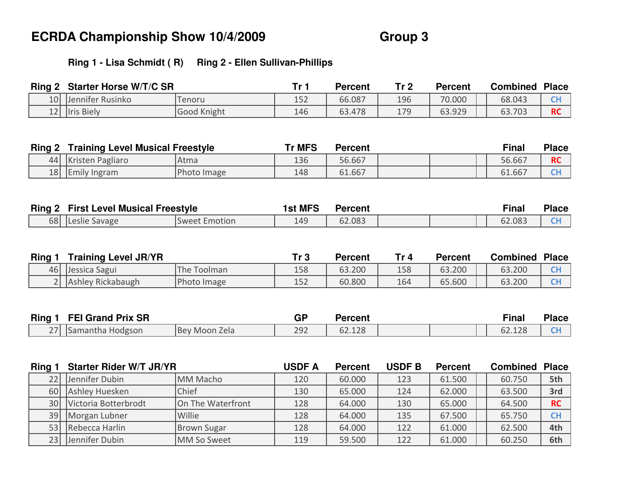### **Ring 1 - Lisa Schmidt ( R) Ring 2 - Ellen Sullivan-Phillips**

| Ring 2 | <b>Starter Horse W/T/C SR</b> |                    | <u>т. .</u> | <b>Percent</b> | Tr <sub>2</sub> | <b>Percent</b> | <b>Combined</b> | <b>Place</b> |
|--------|-------------------------------|--------------------|-------------|----------------|-----------------|----------------|-----------------|--------------|
| 10     | Uennifer Rusinko              | Tenoru             | 152         | 66.087         | 196             | 70.000         | 68.043          | $\sim$<br>◡┎ |
| 121    | <b>Iris Biely</b>             | <b>Good Knight</b> | 146         | 63.478         | 179             | 63.929         | 63.703          | <b>RC</b>    |

| Ring 2 | <b>Training Level Musical Freestyle</b> |             | Tr MFS | Percent |  | Final  | <b>Place</b> |
|--------|-----------------------------------------|-------------|--------|---------|--|--------|--------------|
|        | 44   Kristen Pagliaro                   | Atma        | 136    | 56.667  |  | 56.667 | <b>RC</b>    |
| 18     | Emily Ingram                            | Photo Image | 148    | 61.667  |  | 61.667 | <b>CH</b>    |
|        |                                         |             |        |         |  |        |              |

| Ring 2 | <b>First Level Musical Freestyle</b> |                      | <b>'st MFS</b> | Percent |  | Final  | <b>Place</b> |
|--------|--------------------------------------|----------------------|----------------|---------|--|--------|--------------|
|        | 68   Leslie Savage                   | <b>Sweet Emotion</b> | 149            | 62.083  |  | 62.083 | $\sim$       |

| <b>Ring</b> | <b>Training Level JR/YR</b> |                    | Tr 3 | <b>Percent</b> | Tr 4 | <b>Percent</b> | <b>Combined</b> | <b>Place</b> |
|-------------|-----------------------------|--------------------|------|----------------|------|----------------|-----------------|--------------|
|             | 46 Jessica Sagui            | <b>The Toolman</b> | 158  | 63.200         | 158  | 63.200         | 63.200          | $\sim$       |
|             | Ashley Rickabaugh           | Photo Image        | 152  | 60.800         | 164  | 65.600         | 63.200          | $\sim$       |

| <b>Ring</b> | <b>FEI Grand Prix SR</b> |                  | ≏D  | Percent                 |  | Final                   | <b>Place</b> |
|-------------|--------------------------|------------------|-----|-------------------------|--|-------------------------|--------------|
| $\sim$ $-1$ | <b>Samantha Hodgson</b>  | Moon Zela<br>Bev | 292 | 120<br>$\sim$<br>02.IZO |  | $\sim$<br>12C<br>02.IZ0 | $\sim$       |

| Ring 1 | <b>Starter Rider W/T JR/YR</b> |                   | <b>USDF A</b> | <b>Percent</b> | <b>USDF B</b> | <b>Percent</b> | <b>Combined</b> | <b>Place</b> |
|--------|--------------------------------|-------------------|---------------|----------------|---------------|----------------|-----------------|--------------|
|        | 22 Jennifer Dubin              | MM Macho          | 120           | 60.000         | 123           | 61.500         | 60.750          | 5th          |
|        | 60 Ashley Huesken              | Chief             | 130           | 65.000         | 124           | 62.000         | 63.500          | 3rd          |
|        | 30 Victoria Botterbrodt        | On The Waterfront | 128           | 64.000         | 130           | 65.000         | 64.500          | <b>RC</b>    |
|        | 39 Morgan Lubner               | Willie            | 128           | 64.000         | 135           | 67.500         | 65.750          | <b>CH</b>    |
| 53     | Rebecca Harlin                 | Brown Sugar       | 128           | 64.000         | 122           | 61.000         | 62.500          | 4th          |
|        | 23 Jennifer Dubin              | MM So Sweet       | 119           | 59.500         | 122           | 61.000         | 60.250          | 6th          |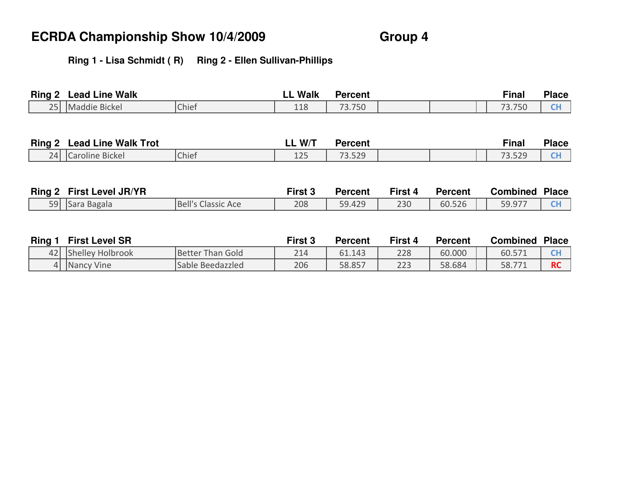d | 206 | 58.857 | 223 | 58.684 || 58.771 |**RC** 

### **Ring 1 - Lisa Schmidt ( R) Ring 2 - Ellen Sullivan-Phillips**

| <b>Ring 2</b> | <b>Lead Line Walk</b>             |                           | <b>LL Walk</b> | <b>Percent</b> |         |                | <b>Final</b>    | <b>Place</b> |
|---------------|-----------------------------------|---------------------------|----------------|----------------|---------|----------------|-----------------|--------------|
| 25            | Maddie Bickel                     | Chief                     | 118            | 73.750         |         |                | 73.750          | CH           |
|               |                                   |                           |                |                |         |                |                 |              |
|               | <b>Ring 2 Lead Line Walk Trot</b> |                           | LL W/T         | <b>Percent</b> |         |                | <b>Final</b>    | <b>Place</b> |
| 24            | Caroline Bickel                   | Chief                     | 125            | 73.529         |         |                | 73.529          | <b>CH</b>    |
|               | Ring 2 First Level JR/YR          |                           | First 3        | <b>Percent</b> | First 4 | <b>Percent</b> | <b>Combined</b> | <b>Place</b> |
| 59            | Sara Bagala                       | <b>Bell's Classic Ace</b> | 208            | 59.429         | 230     | 60.526         | 59.977          | <b>CH</b>    |
|               |                                   |                           |                |                |         |                |                 |              |
| Ring 1        | <b>First Level SR</b>             |                           | First 3        | <b>Percent</b> | First 4 | <b>Percent</b> | <b>Combined</b> | <b>Place</b> |
| 42            | Shelley Holbrook                  | <b>Better Than Gold</b>   | 214            | 61.143         | 228     | 60.000         | 60.571          | <b>CH</b>    |